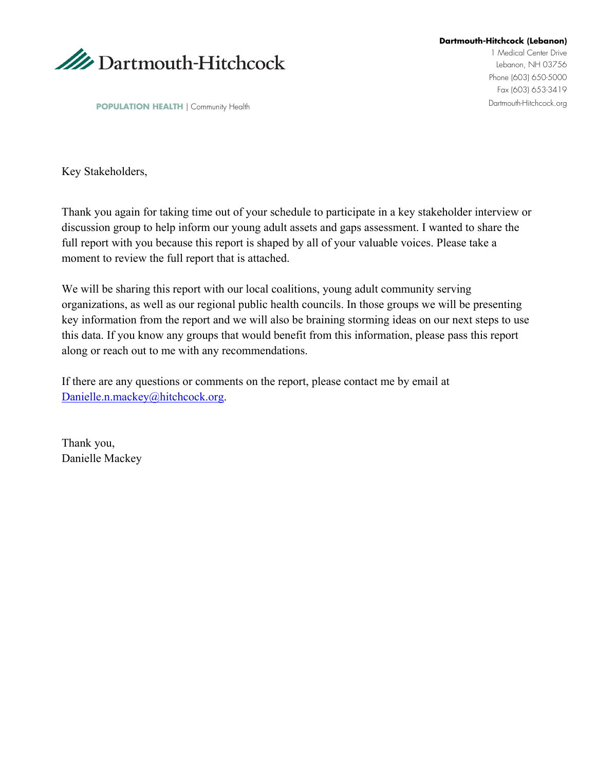

**Dartmouth-Hitchcock (Lebanon)**

1 Medical Center Drive Lebanon, NH 03756 Phone (603) 650-5000 Fax (603) 653-3419

**POPULATION HEALTH** | Community Health

Key Stakeholders,

Thank you again for taking time out of your schedule to participate in a key stakeholder interview or discussion group to help inform our young adult assets and gaps assessment. I wanted to share the full report with you because this report is shaped by all of your valuable voices. Please take a moment to review the full report that is attached.

We will be sharing this report with our local coalitions, young adult community serving organizations, as well as our regional public health councils. In those groups we will be presenting key information from the report and we will also be braining storming ideas on our next steps to use this data. If you know any groups that would benefit from this information, please pass this report along or reach out to me with any recommendations.

If there are any questions or comments on the report, please contact me by email at [Danielle.n.mackey@hitchcock.org.](mailto:Danielle.n.mackey@hitchcock.org)

Thank you, Danielle Mackey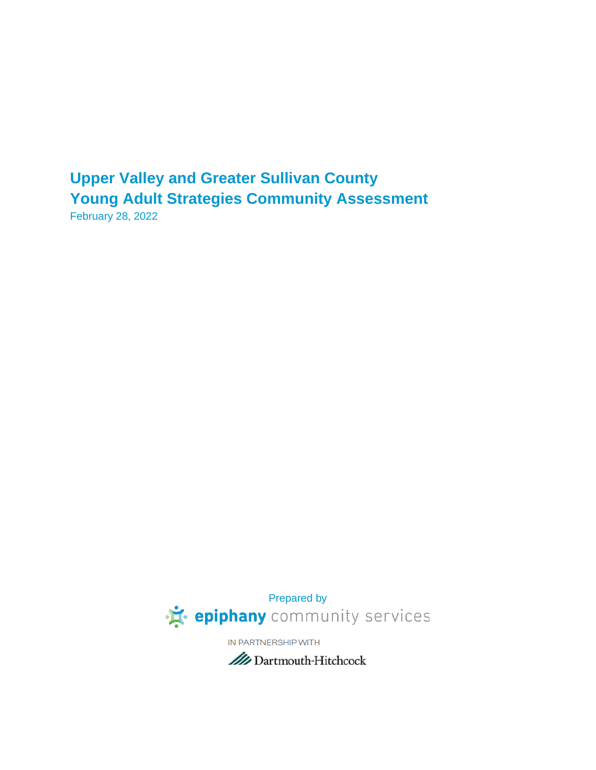# **Upper Valley and Greater Sullivan County Young Adult Strategies Community Assessment**

February 28, 2022



IN PARTNERSHIP WITH

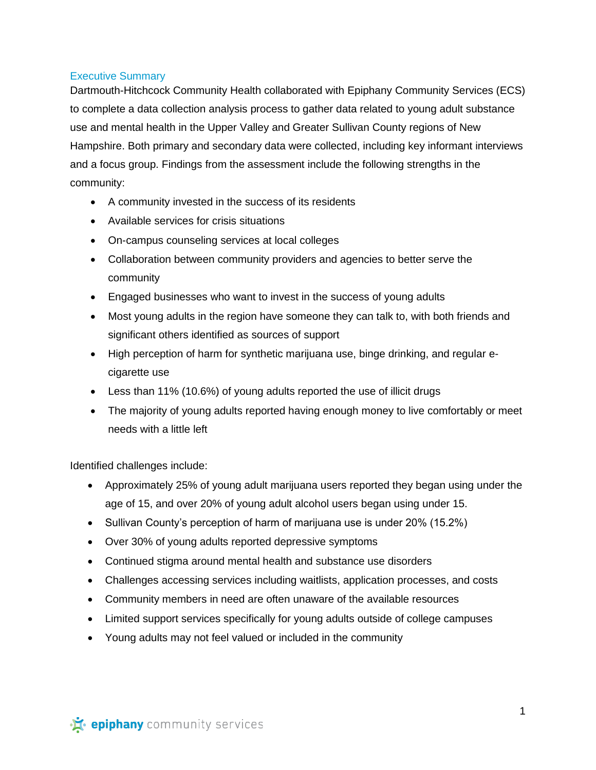## Executive Summary

Dartmouth-Hitchcock Community Health collaborated with Epiphany Community Services (ECS) to complete a data collection analysis process to gather data related to young adult substance use and mental health in the Upper Valley and Greater Sullivan County regions of New Hampshire. Both primary and secondary data were collected, including key informant interviews and a focus group. Findings from the assessment include the following strengths in the community:

- A community invested in the success of its residents
- Available services for crisis situations
- On-campus counseling services at local colleges
- Collaboration between community providers and agencies to better serve the community
- Engaged businesses who want to invest in the success of young adults
- Most young adults in the region have someone they can talk to, with both friends and significant others identified as sources of support
- High perception of harm for synthetic marijuana use, binge drinking, and regular ecigarette use
- Less than 11% (10.6%) of young adults reported the use of illicit drugs
- The majority of young adults reported having enough money to live comfortably or meet needs with a little left

Identified challenges include:

- Approximately 25% of young adult marijuana users reported they began using under the age of 15, and over 20% of young adult alcohol users began using under 15.
- Sullivan County's perception of harm of marijuana use is under 20% (15.2%)
- Over 30% of young adults reported depressive symptoms
- Continued stigma around mental health and substance use disorders
- Challenges accessing services including waitlists, application processes, and costs
- Community members in need are often unaware of the available resources
- Limited support services specifically for young adults outside of college campuses
- Young adults may not feel valued or included in the community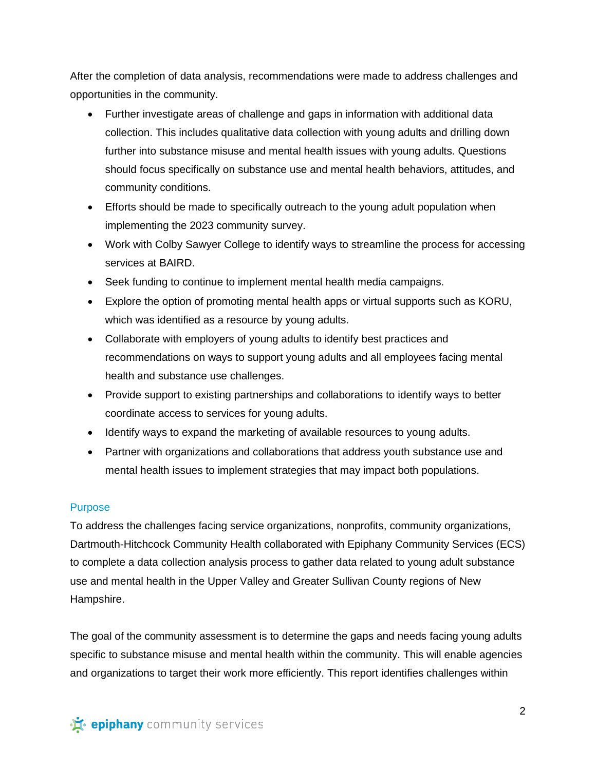After the completion of data analysis, recommendations were made to address challenges and opportunities in the community.

- Further investigate areas of challenge and gaps in information with additional data collection. This includes qualitative data collection with young adults and drilling down further into substance misuse and mental health issues with young adults. Questions should focus specifically on substance use and mental health behaviors, attitudes, and community conditions.
- Efforts should be made to specifically outreach to the young adult population when implementing the 2023 community survey.
- Work with Colby Sawyer College to identify ways to streamline the process for accessing services at BAIRD.
- Seek funding to continue to implement mental health media campaigns.
- Explore the option of promoting mental health apps or virtual supports such as KORU, which was identified as a resource by young adults.
- Collaborate with employers of young adults to identify best practices and recommendations on ways to support young adults and all employees facing mental health and substance use challenges.
- Provide support to existing partnerships and collaborations to identify ways to better coordinate access to services for young adults.
- Identify ways to expand the marketing of available resources to young adults.
- Partner with organizations and collaborations that address youth substance use and mental health issues to implement strategies that may impact both populations.

# Purpose

To address the challenges facing service organizations, nonprofits, community organizations, Dartmouth-Hitchcock Community Health collaborated with Epiphany Community Services (ECS) to complete a data collection analysis process to gather data related to young adult substance use and mental health in the Upper Valley and Greater Sullivan County regions of New Hampshire.

The goal of the community assessment is to determine the gaps and needs facing young adults specific to substance misuse and mental health within the community. This will enable agencies and organizations to target their work more efficiently. This report identifies challenges within

· is epiphany community services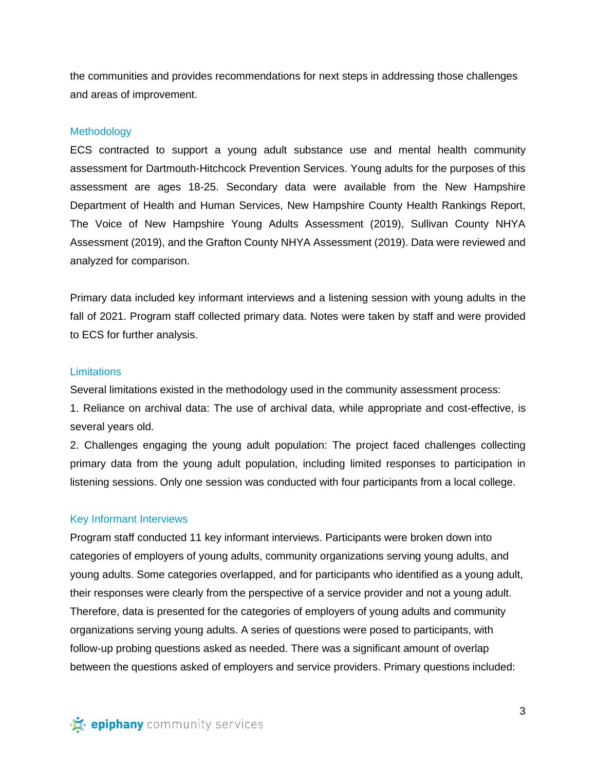the communities and provides recommendations for next steps in addressing those challenges and areas of improvement.

#### **Methodology**

ECS contracted to support a young adult substance use and mental health community assessment for Dartmouth-Hitchcock Prevention Services. Young adults for the purposes of this assessment are ages 18-25. Secondary data were available from the New Hampshire Department of Health and Human Services, New Hampshire County Health Rankings Report, The Voice of New Hampshire Young Adults Assessment (2019), Sullivan County NHYA Assessment (2019), and the Grafton County NHYA Assessment (2019). Data were reviewed and analyzed for comparison.

Primary data included key informant interviews and a listening session with young adults in the fall of 2021. Program staff collected primary data. Notes were taken by staff and were provided to ECS for further analysis.

#### **Limitations**

Several limitations existed in the methodology used in the community assessment process:

1. Reliance on archival data: The use of archival data, while appropriate and cost-effective, is several years old.

2. Challenges engaging the young adult population: The project faced challenges collecting primary data from the young adult population, including limited responses to participation in listening sessions. Only one session was conducted with four participants from a local college.

#### Key Informant Interviews

Program staff conducted 11 key informant interviews. Participants were broken down into categories of employers of young adults, community organizations serving young adults, and young adults. Some categories overlapped, and for participants who identified as a young adult, their responses were clearly from the perspective of a service provider and not a young adult. Therefore, data is presented for the categories of employers of young adults and community organizations serving young adults. A series of questions were posed to participants, with follow-up probing questions asked as needed. There was a significant amount of overlap between the questions asked of employers and service providers. Primary questions included: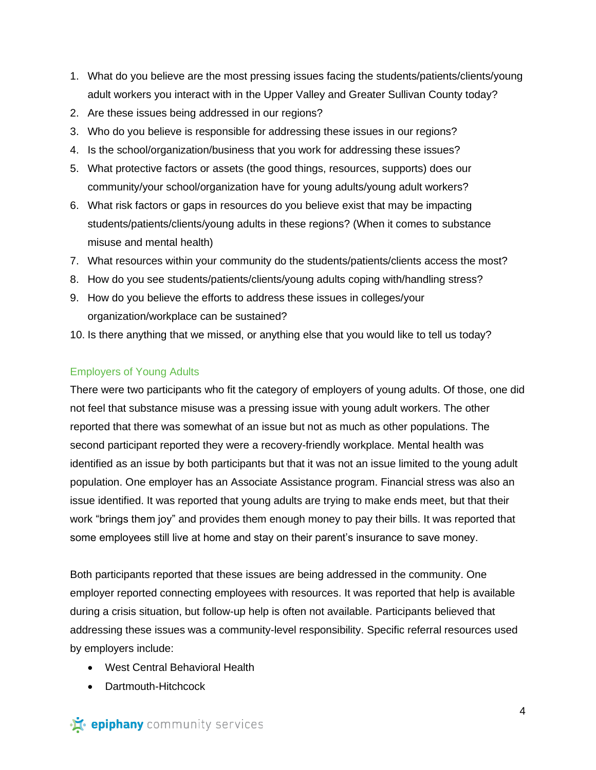- 1. What do you believe are the most pressing issues facing the students/patients/clients/young adult workers you interact with in the Upper Valley and Greater Sullivan County today?
- 2. Are these issues being addressed in our regions?
- 3. Who do you believe is responsible for addressing these issues in our regions?
- 4. Is the school/organization/business that you work for addressing these issues?
- 5. What protective factors or assets (the good things, resources, supports) does our community/your school/organization have for young adults/young adult workers?
- 6. What risk factors or gaps in resources do you believe exist that may be impacting students/patients/clients/young adults in these regions? (When it comes to substance misuse and mental health)
- 7. What resources within your community do the students/patients/clients access the most?
- 8. How do you see students/patients/clients/young adults coping with/handling stress?
- 9. How do you believe the efforts to address these issues in colleges/your organization/workplace can be sustained?
- 10. Is there anything that we missed, or anything else that you would like to tell us today?

## Employers of Young Adults

There were two participants who fit the category of employers of young adults. Of those, one did not feel that substance misuse was a pressing issue with young adult workers. The other reported that there was somewhat of an issue but not as much as other populations. The second participant reported they were a recovery-friendly workplace. Mental health was identified as an issue by both participants but that it was not an issue limited to the young adult population. One employer has an Associate Assistance program. Financial stress was also an issue identified. It was reported that young adults are trying to make ends meet, but that their work "brings them joy" and provides them enough money to pay their bills. It was reported that some employees still live at home and stay on their parent's insurance to save money.

Both participants reported that these issues are being addressed in the community. One employer reported connecting employees with resources. It was reported that help is available during a crisis situation, but follow-up help is often not available. Participants believed that addressing these issues was a community-level responsibility. Specific referral resources used by employers include:

- West Central Behavioral Health
- Dartmouth-Hitchcock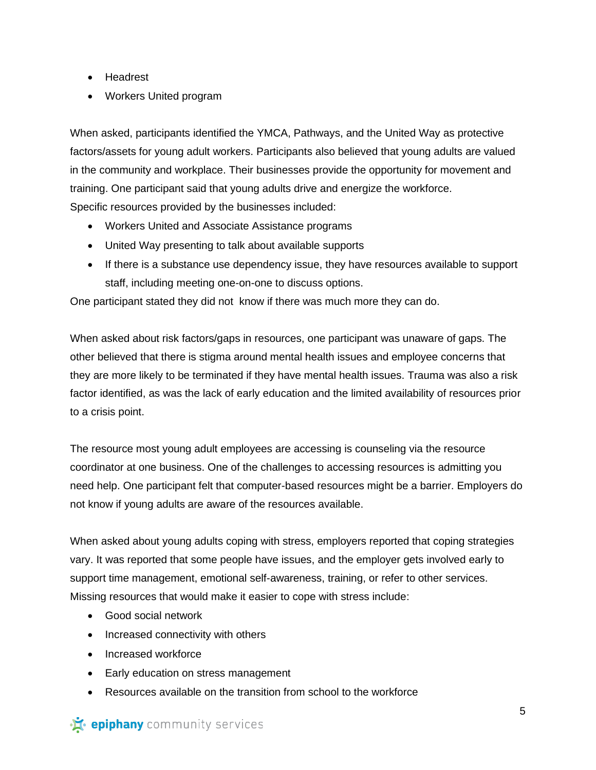- Headrest
- Workers United program

When asked, participants identified the YMCA, Pathways, and the United Way as protective factors/assets for young adult workers. Participants also believed that young adults are valued in the community and workplace. Their businesses provide the opportunity for movement and training. One participant said that young adults drive and energize the workforce. Specific resources provided by the businesses included:

- Workers United and Associate Assistance programs
- United Way presenting to talk about available supports
- If there is a substance use dependency issue, they have resources available to support staff, including meeting one-on-one to discuss options.

One participant stated they did not know if there was much more they can do.

When asked about risk factors/gaps in resources, one participant was unaware of gaps. The other believed that there is stigma around mental health issues and employee concerns that they are more likely to be terminated if they have mental health issues. Trauma was also a risk factor identified, as was the lack of early education and the limited availability of resources prior to a crisis point.

The resource most young adult employees are accessing is counseling via the resource coordinator at one business. One of the challenges to accessing resources is admitting you need help. One participant felt that computer-based resources might be a barrier. Employers do not know if young adults are aware of the resources available.

When asked about young adults coping with stress, employers reported that coping strategies vary. It was reported that some people have issues, and the employer gets involved early to support time management, emotional self-awareness, training, or refer to other services. Missing resources that would make it easier to cope with stress include:

- Good social network
- Increased connectivity with others
- Increased workforce
- Early education on stress management
- Resources available on the transition from school to the workforce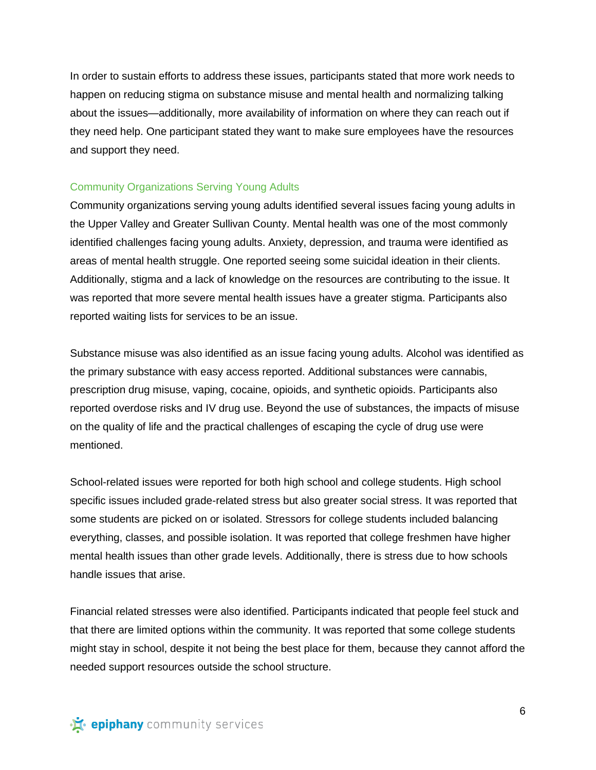In order to sustain efforts to address these issues, participants stated that more work needs to happen on reducing stigma on substance misuse and mental health and normalizing talking about the issues—additionally, more availability of information on where they can reach out if they need help. One participant stated they want to make sure employees have the resources and support they need.

### Community Organizations Serving Young Adults

Community organizations serving young adults identified several issues facing young adults in the Upper Valley and Greater Sullivan County. Mental health was one of the most commonly identified challenges facing young adults. Anxiety, depression, and trauma were identified as areas of mental health struggle. One reported seeing some suicidal ideation in their clients. Additionally, stigma and a lack of knowledge on the resources are contributing to the issue. It was reported that more severe mental health issues have a greater stigma. Participants also reported waiting lists for services to be an issue.

Substance misuse was also identified as an issue facing young adults. Alcohol was identified as the primary substance with easy access reported. Additional substances were cannabis, prescription drug misuse, vaping, cocaine, opioids, and synthetic opioids. Participants also reported overdose risks and IV drug use. Beyond the use of substances, the impacts of misuse on the quality of life and the practical challenges of escaping the cycle of drug use were mentioned.

School-related issues were reported for both high school and college students. High school specific issues included grade-related stress but also greater social stress. It was reported that some students are picked on or isolated. Stressors for college students included balancing everything, classes, and possible isolation. It was reported that college freshmen have higher mental health issues than other grade levels. Additionally, there is stress due to how schools handle issues that arise.

Financial related stresses were also identified. Participants indicated that people feel stuck and that there are limited options within the community. It was reported that some college students might stay in school, despite it not being the best place for them, because they cannot afford the needed support resources outside the school structure.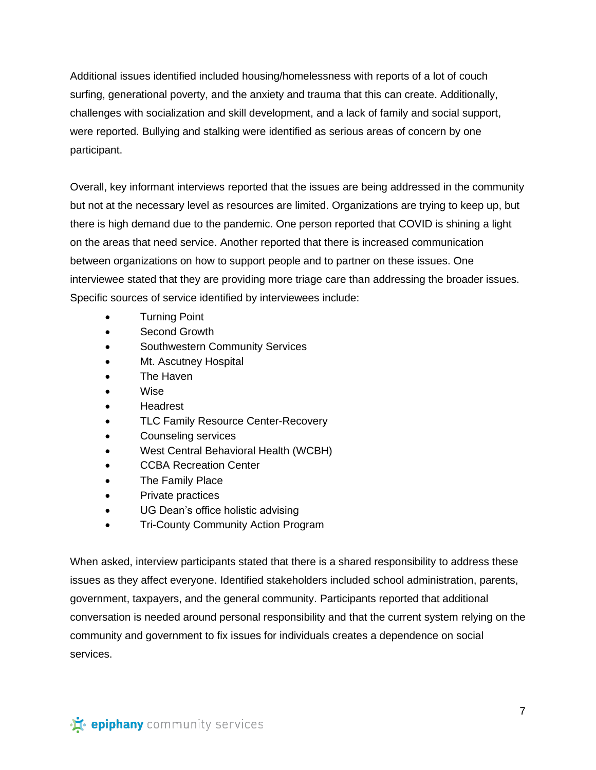Additional issues identified included housing/homelessness with reports of a lot of couch surfing, generational poverty, and the anxiety and trauma that this can create. Additionally, challenges with socialization and skill development, and a lack of family and social support, were reported. Bullying and stalking were identified as serious areas of concern by one participant.

Overall, key informant interviews reported that the issues are being addressed in the community but not at the necessary level as resources are limited. Organizations are trying to keep up, but there is high demand due to the pandemic. One person reported that COVID is shining a light on the areas that need service. Another reported that there is increased communication between organizations on how to support people and to partner on these issues. One interviewee stated that they are providing more triage care than addressing the broader issues. Specific sources of service identified by interviewees include:

- Turning Point
- Second Growth
- Southwestern Community Services
- Mt. Ascutney Hospital
- The Haven
- Wise
- **Headrest**
- TLC Family Resource Center-Recovery
- Counseling services
- West Central Behavioral Health (WCBH)
- **CCBA Recreation Center**
- The Family Place
- Private practices
- UG Dean's office holistic advising
- Tri-County Community Action Program

When asked, interview participants stated that there is a shared responsibility to address these issues as they affect everyone. Identified stakeholders included school administration, parents, government, taxpayers, and the general community. Participants reported that additional conversation is needed around personal responsibility and that the current system relying on the community and government to fix issues for individuals creates a dependence on social services.

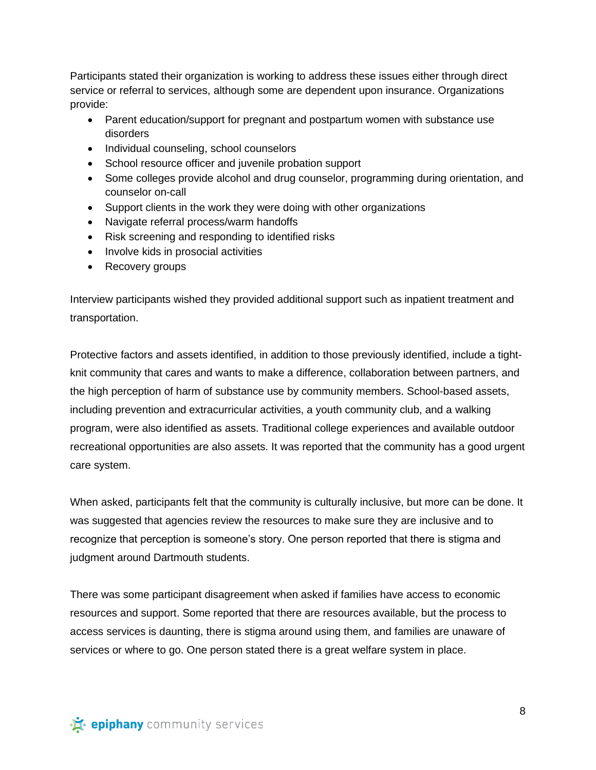Participants stated their organization is working to address these issues either through direct service or referral to services, although some are dependent upon insurance. Organizations provide:

- Parent education/support for pregnant and postpartum women with substance use disorders
- Individual counseling, school counselors
- School resource officer and juvenile probation support
- Some colleges provide alcohol and drug counselor, programming during orientation, and counselor on-call
- Support clients in the work they were doing with other organizations
- Navigate referral process/warm handoffs
- Risk screening and responding to identified risks
- Involve kids in prosocial activities
- Recovery groups

Interview participants wished they provided additional support such as inpatient treatment and transportation.

Protective factors and assets identified, in addition to those previously identified, include a tightknit community that cares and wants to make a difference, collaboration between partners, and the high perception of harm of substance use by community members. School-based assets, including prevention and extracurricular activities, a youth community club, and a walking program, were also identified as assets. Traditional college experiences and available outdoor recreational opportunities are also assets. It was reported that the community has a good urgent care system.

When asked, participants felt that the community is culturally inclusive, but more can be done. It was suggested that agencies review the resources to make sure they are inclusive and to recognize that perception is someone's story. One person reported that there is stigma and judgment around Dartmouth students.

There was some participant disagreement when asked if families have access to economic resources and support. Some reported that there are resources available, but the process to access services is daunting, there is stigma around using them, and families are unaware of services or where to go. One person stated there is a great welfare system in place.

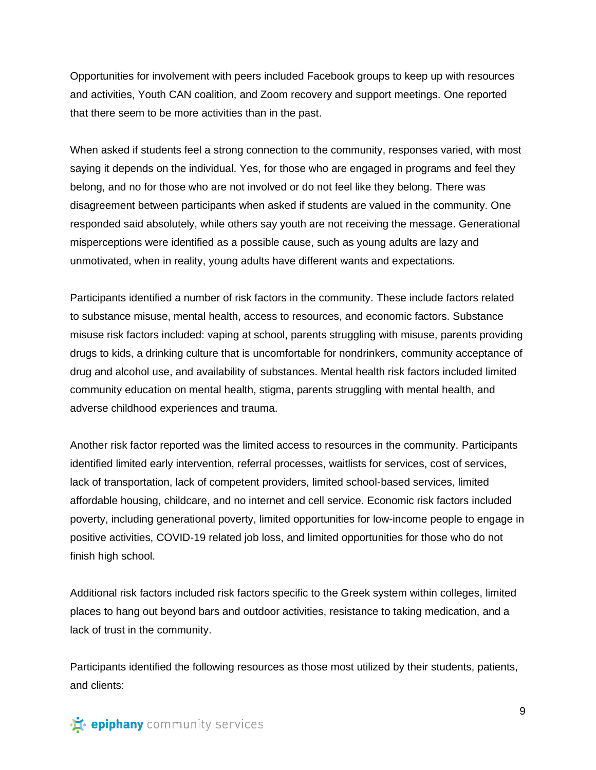Opportunities for involvement with peers included Facebook groups to keep up with resources and activities, Youth CAN coalition, and Zoom recovery and support meetings. One reported that there seem to be more activities than in the past.

When asked if students feel a strong connection to the community, responses varied, with most saying it depends on the individual. Yes, for those who are engaged in programs and feel they belong, and no for those who are not involved or do not feel like they belong. There was disagreement between participants when asked if students are valued in the community. One responded said absolutely, while others say youth are not receiving the message. Generational misperceptions were identified as a possible cause, such as young adults are lazy and unmotivated, when in reality, young adults have different wants and expectations.

Participants identified a number of risk factors in the community. These include factors related to substance misuse, mental health, access to resources, and economic factors. Substance misuse risk factors included: vaping at school, parents struggling with misuse, parents providing drugs to kids, a drinking culture that is uncomfortable for nondrinkers, community acceptance of drug and alcohol use, and availability of substances. Mental health risk factors included limited community education on mental health, stigma, parents struggling with mental health, and adverse childhood experiences and trauma.

Another risk factor reported was the limited access to resources in the community. Participants identified limited early intervention, referral processes, waitlists for services, cost of services, lack of transportation, lack of competent providers, limited school-based services, limited affordable housing, childcare, and no internet and cell service. Economic risk factors included poverty, including generational poverty, limited opportunities for low-income people to engage in positive activities, COVID-19 related job loss, and limited opportunities for those who do not finish high school.

Additional risk factors included risk factors specific to the Greek system within colleges, limited places to hang out beyond bars and outdoor activities, resistance to taking medication, and a lack of trust in the community.

Participants identified the following resources as those most utilized by their students, patients, and clients: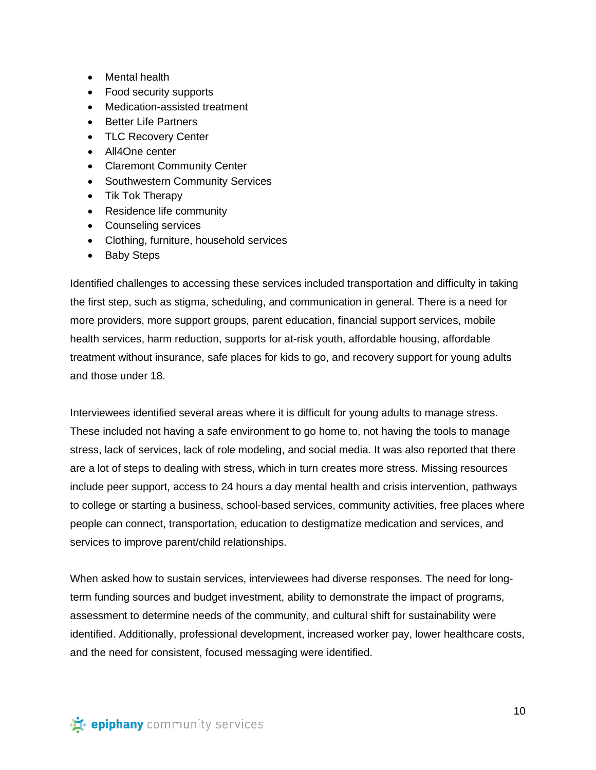- Mental health
- Food security supports
- Medication-assisted treatment
- Better Life Partners
- TLC Recovery Center
- All4One center
- Claremont Community Center
- Southwestern Community Services
- Tik Tok Therapy
- Residence life community
- Counseling services
- Clothing, furniture, household services
- Baby Steps

Identified challenges to accessing these services included transportation and difficulty in taking the first step, such as stigma, scheduling, and communication in general. There is a need for more providers, more support groups, parent education, financial support services, mobile health services, harm reduction, supports for at-risk youth, affordable housing, affordable treatment without insurance, safe places for kids to go, and recovery support for young adults and those under 18.

Interviewees identified several areas where it is difficult for young adults to manage stress. These included not having a safe environment to go home to, not having the tools to manage stress, lack of services, lack of role modeling, and social media. It was also reported that there are a lot of steps to dealing with stress, which in turn creates more stress. Missing resources include peer support, access to 24 hours a day mental health and crisis intervention, pathways to college or starting a business, school-based services, community activities, free places where people can connect, transportation, education to destigmatize medication and services, and services to improve parent/child relationships.

When asked how to sustain services, interviewees had diverse responses. The need for longterm funding sources and budget investment, ability to demonstrate the impact of programs, assessment to determine needs of the community, and cultural shift for sustainability were identified. Additionally, professional development, increased worker pay, lower healthcare costs, and the need for consistent, focused messaging were identified.

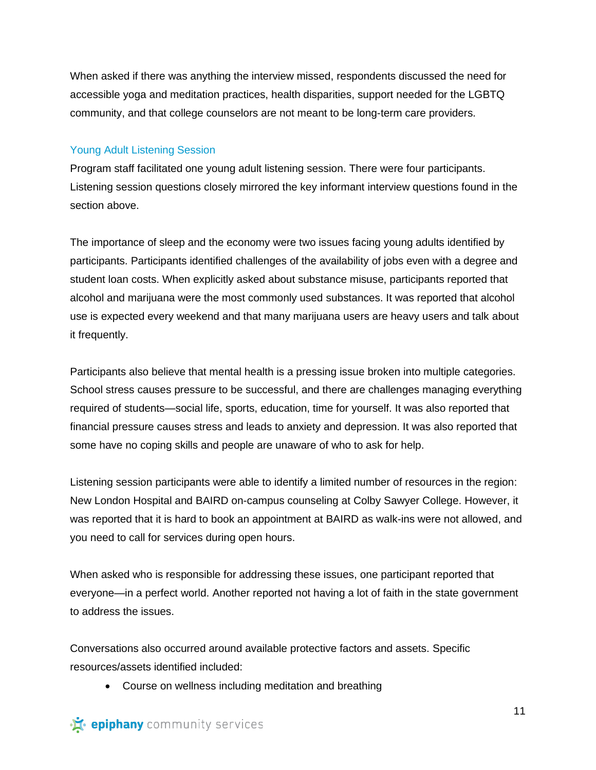When asked if there was anything the interview missed, respondents discussed the need for accessible yoga and meditation practices, health disparities, support needed for the LGBTQ community, and that college counselors are not meant to be long-term care providers.

#### Young Adult Listening Session

Program staff facilitated one young adult listening session. There were four participants. Listening session questions closely mirrored the key informant interview questions found in the section above.

The importance of sleep and the economy were two issues facing young adults identified by participants. Participants identified challenges of the availability of jobs even with a degree and student loan costs. When explicitly asked about substance misuse, participants reported that alcohol and marijuana were the most commonly used substances. It was reported that alcohol use is expected every weekend and that many marijuana users are heavy users and talk about it frequently.

Participants also believe that mental health is a pressing issue broken into multiple categories. School stress causes pressure to be successful, and there are challenges managing everything required of students—social life, sports, education, time for yourself. It was also reported that financial pressure causes stress and leads to anxiety and depression. It was also reported that some have no coping skills and people are unaware of who to ask for help.

Listening session participants were able to identify a limited number of resources in the region: New London Hospital and BAIRD on-campus counseling at Colby Sawyer College. However, it was reported that it is hard to book an appointment at BAIRD as walk-ins were not allowed, and you need to call for services during open hours.

When asked who is responsible for addressing these issues, one participant reported that everyone—in a perfect world. Another reported not having a lot of faith in the state government to address the issues.

Conversations also occurred around available protective factors and assets. Specific resources/assets identified included:

• Course on wellness including meditation and breathing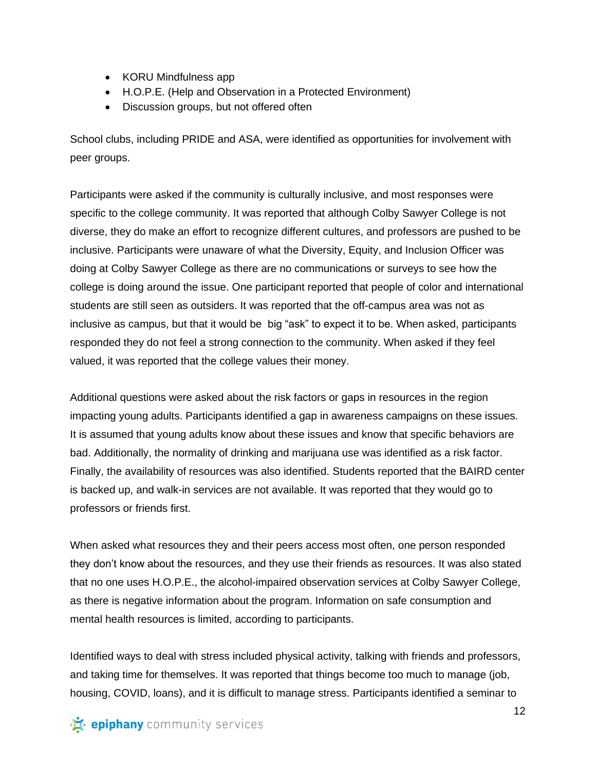- KORU Mindfulness app
- H.O.P.E. (Help and Observation in a Protected Environment)
- Discussion groups, but not offered often

School clubs, including PRIDE and ASA, were identified as opportunities for involvement with peer groups.

Participants were asked if the community is culturally inclusive, and most responses were specific to the college community. It was reported that although Colby Sawyer College is not diverse, they do make an effort to recognize different cultures, and professors are pushed to be inclusive. Participants were unaware of what the Diversity, Equity, and Inclusion Officer was doing at Colby Sawyer College as there are no communications or surveys to see how the college is doing around the issue. One participant reported that people of color and international students are still seen as outsiders. It was reported that the off-campus area was not as inclusive as campus, but that it would be big "ask" to expect it to be. When asked, participants responded they do not feel a strong connection to the community. When asked if they feel valued, it was reported that the college values their money.

Additional questions were asked about the risk factors or gaps in resources in the region impacting young adults. Participants identified a gap in awareness campaigns on these issues. It is assumed that young adults know about these issues and know that specific behaviors are bad. Additionally, the normality of drinking and marijuana use was identified as a risk factor. Finally, the availability of resources was also identified. Students reported that the BAIRD center is backed up, and walk-in services are not available. It was reported that they would go to professors or friends first.

When asked what resources they and their peers access most often, one person responded they don't know about the resources, and they use their friends as resources. It was also stated that no one uses H.O.P.E., the alcohol-impaired observation services at Colby Sawyer College, as there is negative information about the program. Information on safe consumption and mental health resources is limited, according to participants.

Identified ways to deal with stress included physical activity, talking with friends and professors, and taking time for themselves. It was reported that things become too much to manage (job, housing, COVID, loans), and it is difficult to manage stress. Participants identified a seminar to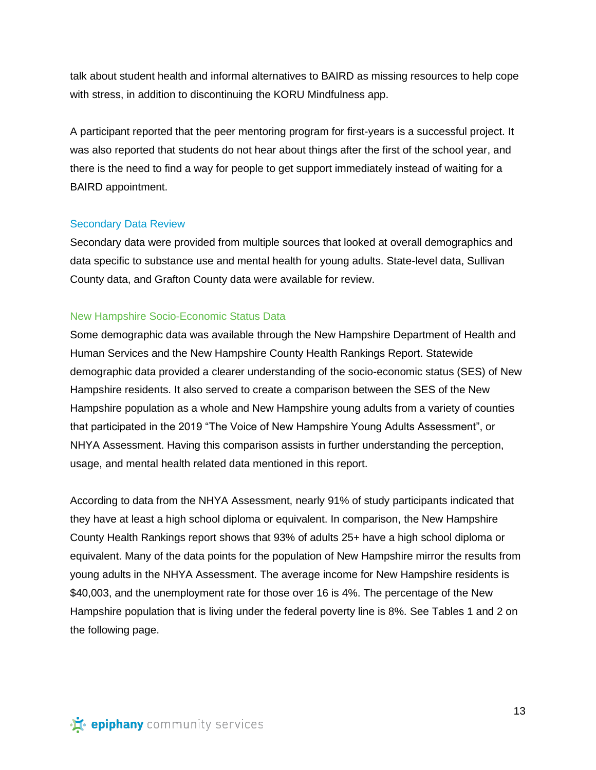talk about student health and informal alternatives to BAIRD as missing resources to help cope with stress, in addition to discontinuing the KORU Mindfulness app.

A participant reported that the peer mentoring program for first-years is a successful project. It was also reported that students do not hear about things after the first of the school year, and there is the need to find a way for people to get support immediately instead of waiting for a BAIRD appointment.

#### Secondary Data Review

Secondary data were provided from multiple sources that looked at overall demographics and data specific to substance use and mental health for young adults. State-level data, Sullivan County data, and Grafton County data were available for review.

#### New Hampshire Socio-Economic Status Data

Some demographic data was available through the New Hampshire Department of Health and Human Services and the New Hampshire County Health Rankings Report. Statewide demographic data provided a clearer understanding of the socio-economic status (SES) of New Hampshire residents. It also served to create a comparison between the SES of the New Hampshire population as a whole and New Hampshire young adults from a variety of counties that participated in the 2019 "The Voice of New Hampshire Young Adults Assessment", or NHYA Assessment. Having this comparison assists in further understanding the perception, usage, and mental health related data mentioned in this report.

According to data from the NHYA Assessment, nearly 91% of study participants indicated that they have at least a high school diploma or equivalent. In comparison, the New Hampshire County Health Rankings report shows that 93% of adults 25+ have a high school diploma or equivalent. Many of the data points for the population of New Hampshire mirror the results from young adults in the NHYA Assessment. The average income for New Hampshire residents is \$40,003, and the unemployment rate for those over 16 is 4%. The percentage of the New Hampshire population that is living under the federal poverty line is 8%. See Tables 1 and 2 on the following page.

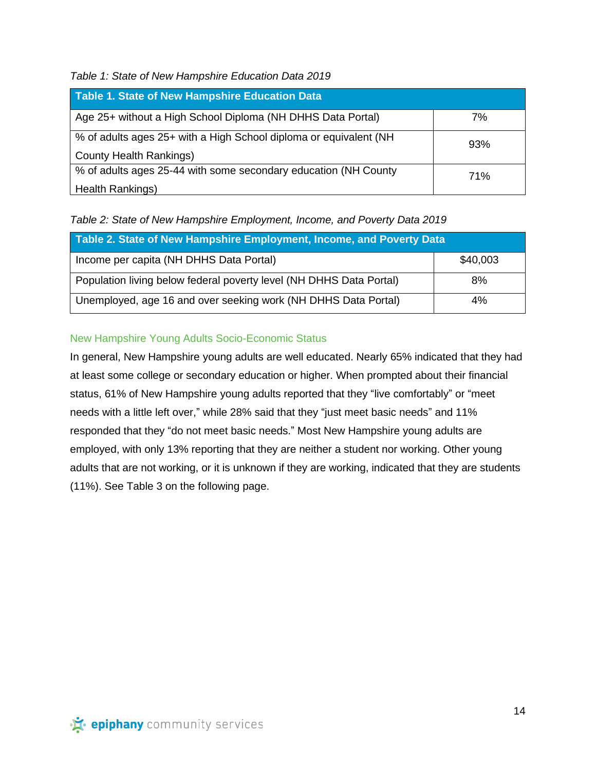*Table 1: State of New Hampshire Education Data 2019*

| Table 1. State of New Hampshire Education Data                     |     |
|--------------------------------------------------------------------|-----|
| Age 25+ without a High School Diploma (NH DHHS Data Portal)        | 7%  |
| % of adults ages 25+ with a High School diploma or equivalent (NH) | 93% |
| County Health Rankings)                                            |     |
| % of adults ages 25-44 with some secondary education (NH County    | 71% |
| Health Rankings)                                                   |     |

*Table 2: State of New Hampshire Employment, Income, and Poverty Data 2019*

| Table 2. State of New Hampshire Employment, Income, and Poverty Data |          |  |
|----------------------------------------------------------------------|----------|--|
| Income per capita (NH DHHS Data Portal)                              | \$40,003 |  |
| Population living below federal poverty level (NH DHHS Data Portal)  | 8%       |  |
| Unemployed, age 16 and over seeking work (NH DHHS Data Portal)       | 4%       |  |

# New Hampshire Young Adults Socio-Economic Status

In general, New Hampshire young adults are well educated. Nearly 65% indicated that they had at least some college or secondary education or higher. When prompted about their financial status, 61% of New Hampshire young adults reported that they "live comfortably" or "meet needs with a little left over," while 28% said that they "just meet basic needs" and 11% responded that they "do not meet basic needs." Most New Hampshire young adults are employed, with only 13% reporting that they are neither a student nor working. Other young adults that are not working, or it is unknown if they are working, indicated that they are students (11%). See Table 3 on the following page.

· is epiphany community services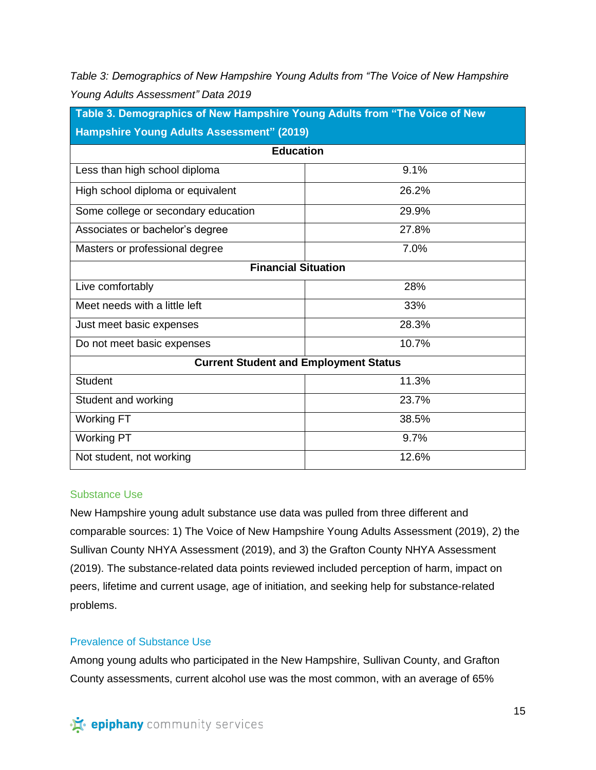*Table 3: Demographics of New Hampshire Young Adults from "The Voice of New Hampshire Young Adults Assessment" Data 2019*

| Table 3. Demographics of New Hampshire Young Adults from "The Voice of New<br><b>Hampshire Young Adults Assessment" (2019)</b><br><b>Education</b> |       |  |                                   |       |
|----------------------------------------------------------------------------------------------------------------------------------------------------|-------|--|-----------------------------------|-------|
|                                                                                                                                                    |       |  | Less than high school diploma     | 9.1%  |
|                                                                                                                                                    |       |  | High school diploma or equivalent | 26.2% |
| Some college or secondary education                                                                                                                | 29.9% |  |                                   |       |
| Associates or bachelor's degree                                                                                                                    | 27.8% |  |                                   |       |
| Masters or professional degree                                                                                                                     | 7.0%  |  |                                   |       |
| <b>Financial Situation</b>                                                                                                                         |       |  |                                   |       |
| Live comfortably                                                                                                                                   | 28%   |  |                                   |       |
| Meet needs with a little left                                                                                                                      | 33%   |  |                                   |       |
| Just meet basic expenses                                                                                                                           | 28.3% |  |                                   |       |
| Do not meet basic expenses                                                                                                                         | 10.7% |  |                                   |       |
| <b>Current Student and Employment Status</b>                                                                                                       |       |  |                                   |       |
| <b>Student</b>                                                                                                                                     | 11.3% |  |                                   |       |
| Student and working                                                                                                                                | 23.7% |  |                                   |       |
| <b>Working FT</b>                                                                                                                                  | 38.5% |  |                                   |       |
| <b>Working PT</b>                                                                                                                                  | 9.7%  |  |                                   |       |
| Not student, not working                                                                                                                           | 12.6% |  |                                   |       |

## Substance Use

New Hampshire young adult substance use data was pulled from three different and comparable sources: 1) The Voice of New Hampshire Young Adults Assessment (2019), 2) the Sullivan County NHYA Assessment (2019), and 3) the Grafton County NHYA Assessment (2019). The substance-related data points reviewed included perception of harm, impact on peers, lifetime and current usage, age of initiation, and seeking help for substance-related problems.

## Prevalence of Substance Use

Among young adults who participated in the New Hampshire, Sullivan County, and Grafton County assessments, current alcohol use was the most common, with an average of 65%

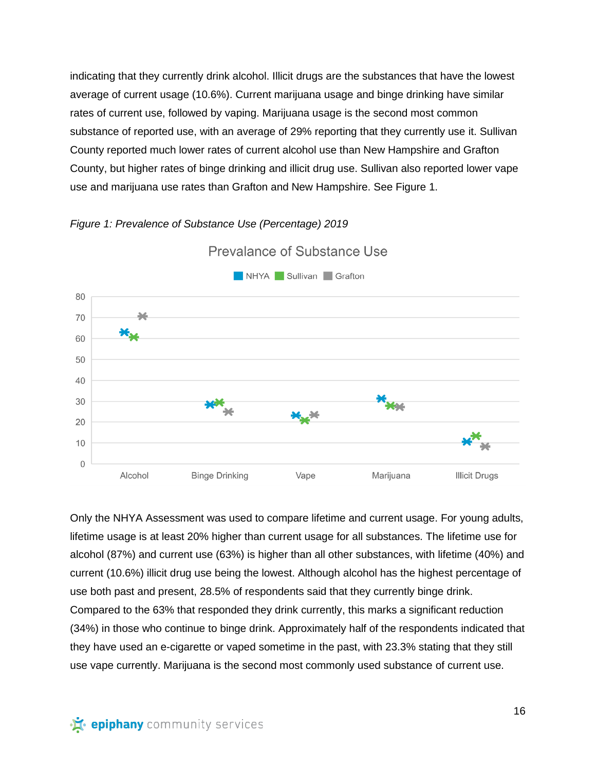indicating that they currently drink alcohol. Illicit drugs are the substances that have the lowest average of current usage (10.6%). Current marijuana usage and binge drinking have similar rates of current use, followed by vaping. Marijuana usage is the second most common substance of reported use, with an average of 29% reporting that they currently use it. Sullivan County reported much lower rates of current alcohol use than New Hampshire and Grafton County, but higher rates of binge drinking and illicit drug use. Sullivan also reported lower vape use and marijuana use rates than Grafton and New Hampshire. See Figure 1.





Prevalance of Substance Use

Only the NHYA Assessment was used to compare lifetime and current usage. For young adults, lifetime usage is at least 20% higher than current usage for all substances. The lifetime use for alcohol (87%) and current use (63%) is higher than all other substances, with lifetime (40%) and current (10.6%) illicit drug use being the lowest. Although alcohol has the highest percentage of use both past and present, 28.5% of respondents said that they currently binge drink. Compared to the 63% that responded they drink currently, this marks a significant reduction (34%) in those who continue to binge drink. Approximately half of the respondents indicated that they have used an e-cigarette or vaped sometime in the past, with 23.3% stating that they still use vape currently. Marijuana is the second most commonly used substance of current use.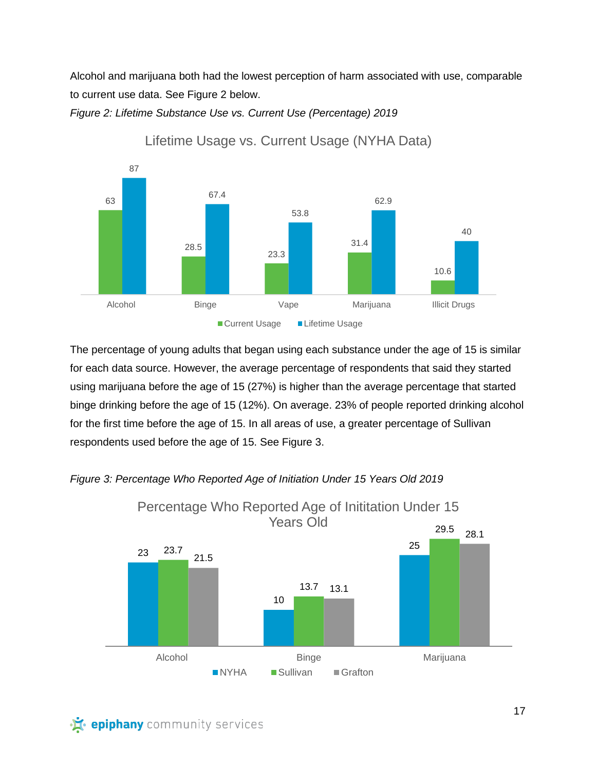Alcohol and marijuana both had the lowest perception of harm associated with use, comparable to current use data. See Figure 2 below.





Lifetime Usage vs. Current Usage (NYHA Data)

The percentage of young adults that began using each substance under the age of 15 is similar for each data source. However, the average percentage of respondents that said they started using marijuana before the age of 15 (27%) is higher than the average percentage that started binge drinking before the age of 15 (12%). On average. 23% of people reported drinking alcohol for the first time before the age of 15. In all areas of use, a greater percentage of Sullivan respondents used before the age of 15. See Figure 3.



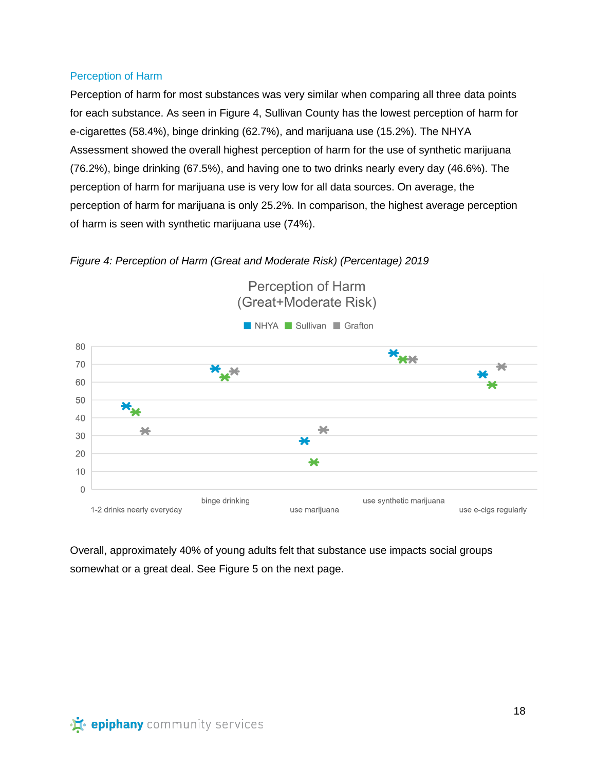## Perception of Harm

Perception of harm for most substances was very similar when comparing all three data points for each substance. As seen in Figure 4, Sullivan County has the lowest perception of harm for e-cigarettes (58.4%), binge drinking (62.7%), and marijuana use (15.2%). The NHYA Assessment showed the overall highest perception of harm for the use of synthetic marijuana (76.2%), binge drinking (67.5%), and having one to two drinks nearly every day (46.6%). The perception of harm for marijuana use is very low for all data sources. On average, the perception of harm for marijuana is only 25.2%. In comparison, the highest average perception of harm is seen with synthetic marijuana use (74%).





Overall, approximately 40% of young adults felt that substance use impacts social groups somewhat or a great deal. See Figure 5 on the next page.

· is epiphany community services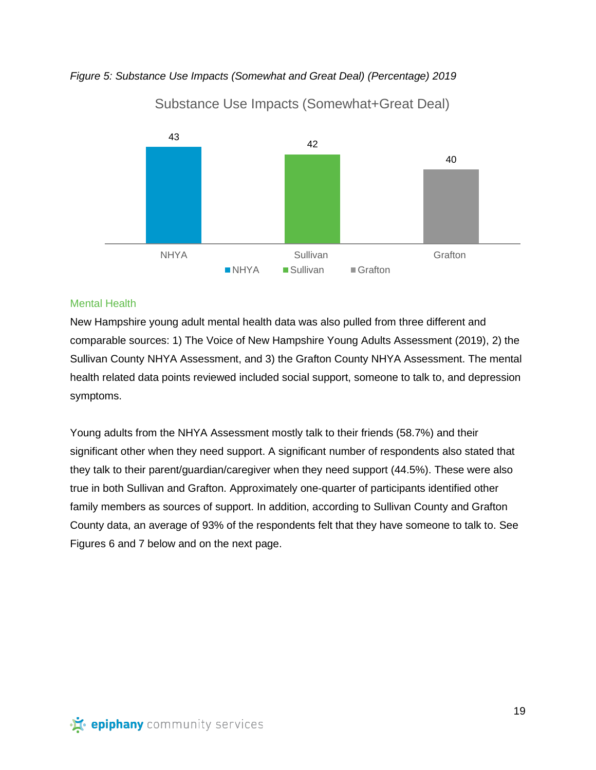*Figure 5: Substance Use Impacts (Somewhat and Great Deal) (Percentage) 2019*



Substance Use Impacts (Somewhat+Great Deal)

## Mental Health

New Hampshire young adult mental health data was also pulled from three different and comparable sources: 1) The Voice of New Hampshire Young Adults Assessment (2019), 2) the Sullivan County NHYA Assessment, and 3) the Grafton County NHYA Assessment. The mental health related data points reviewed included social support, someone to talk to, and depression symptoms.

Young adults from the NHYA Assessment mostly talk to their friends (58.7%) and their significant other when they need support. A significant number of respondents also stated that they talk to their parent/guardian/caregiver when they need support (44.5%). These were also true in both Sullivan and Grafton. Approximately one-quarter of participants identified other family members as sources of support. In addition, according to Sullivan County and Grafton County data, an average of 93% of the respondents felt that they have someone to talk to. See Figures 6 and 7 below and on the next page.

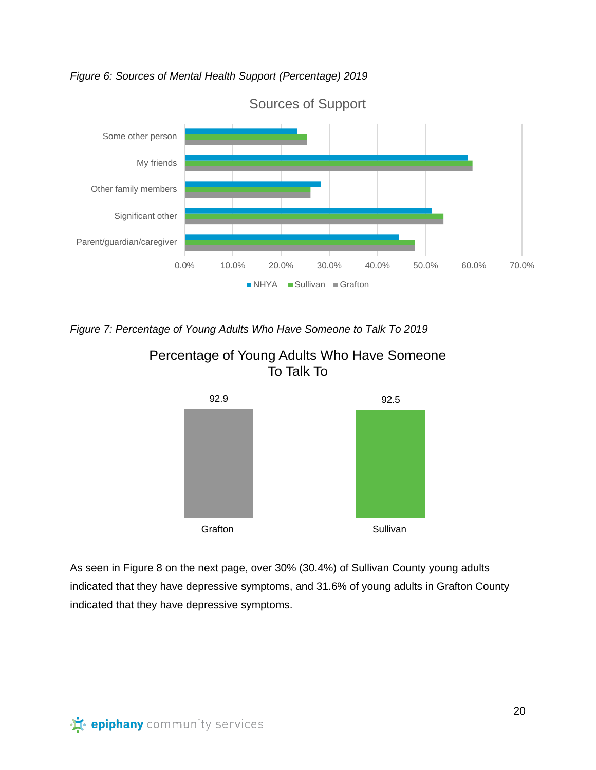*Figure 6: Sources of Mental Health Support (Percentage) 2019*



*Figure 7: Percentage of Young Adults Who Have Someone to Talk To 2019*



Percentage of Young Adults Who Have Someone To Talk To

As seen in Figure 8 on the next page, over 30% (30.4%) of Sullivan County young adults indicated that they have depressive symptoms, and 31.6% of young adults in Grafton County indicated that they have depressive symptoms.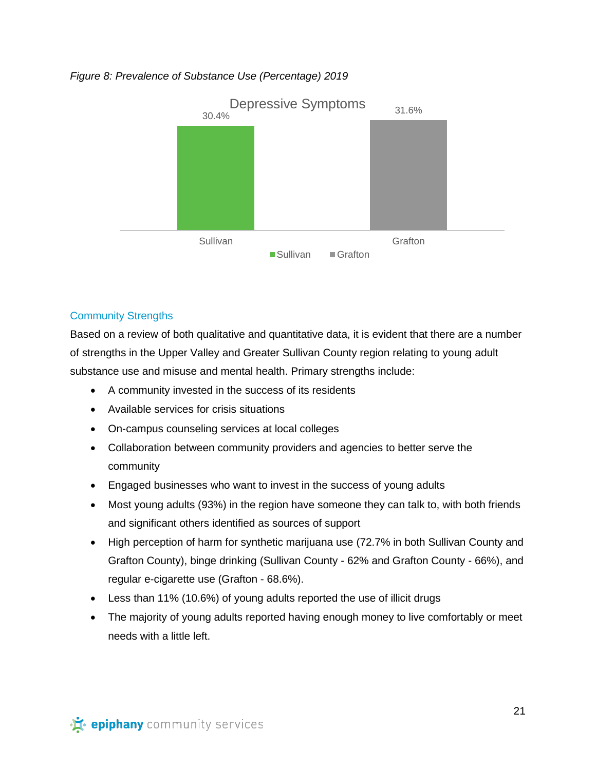## *Figure 8: Prevalence of Substance Use (Percentage) 2019*



## Community Strengths

Based on a review of both qualitative and quantitative data, it is evident that there are a number of strengths in the Upper Valley and Greater Sullivan County region relating to young adult substance use and misuse and mental health. Primary strengths include:

- A community invested in the success of its residents
- Available services for crisis situations
- On-campus counseling services at local colleges
- Collaboration between community providers and agencies to better serve the community
- Engaged businesses who want to invest in the success of young adults
- Most young adults (93%) in the region have someone they can talk to, with both friends and significant others identified as sources of support
- High perception of harm for synthetic marijuana use (72.7% in both Sullivan County and Grafton County), binge drinking (Sullivan County - 62% and Grafton County - 66%), and regular e-cigarette use (Grafton - 68.6%).
- Less than 11% (10.6%) of young adults reported the use of illicit drugs
- The majority of young adults reported having enough money to live comfortably or meet needs with a little left.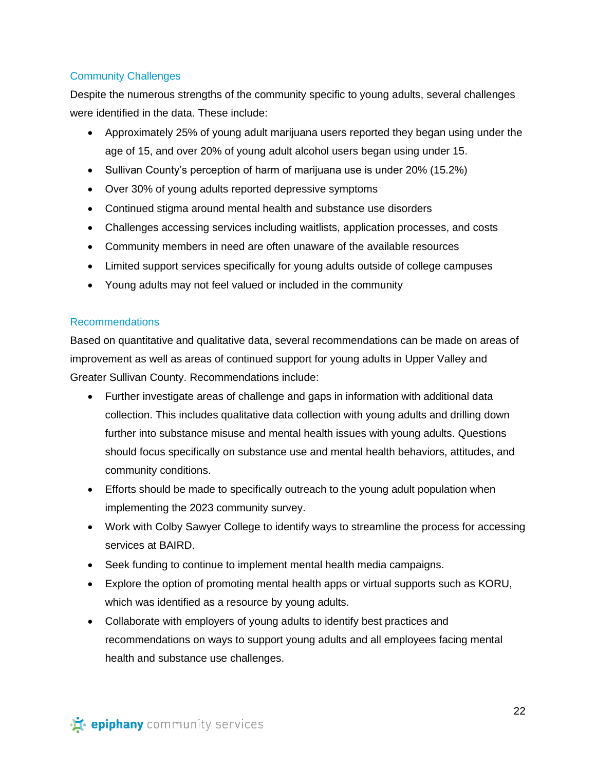# Community Challenges

Despite the numerous strengths of the community specific to young adults, several challenges were identified in the data. These include:

- Approximately 25% of young adult marijuana users reported they began using under the age of 15, and over 20% of young adult alcohol users began using under 15.
- Sullivan County's perception of harm of marijuana use is under 20% (15.2%)
- Over 30% of young adults reported depressive symptoms
- Continued stigma around mental health and substance use disorders
- Challenges accessing services including waitlists, application processes, and costs
- Community members in need are often unaware of the available resources
- Limited support services specifically for young adults outside of college campuses
- Young adults may not feel valued or included in the community

## Recommendations

Based on quantitative and qualitative data, several recommendations can be made on areas of improvement as well as areas of continued support for young adults in Upper Valley and Greater Sullivan County. Recommendations include:

- Further investigate areas of challenge and gaps in information with additional data collection. This includes qualitative data collection with young adults and drilling down further into substance misuse and mental health issues with young adults. Questions should focus specifically on substance use and mental health behaviors, attitudes, and community conditions.
- Efforts should be made to specifically outreach to the young adult population when implementing the 2023 community survey.
- Work with Colby Sawyer College to identify ways to streamline the process for accessing services at BAIRD.
- Seek funding to continue to implement mental health media campaigns.
- Explore the option of promoting mental health apps or virtual supports such as KORU, which was identified as a resource by young adults.
- Collaborate with employers of young adults to identify best practices and recommendations on ways to support young adults and all employees facing mental health and substance use challenges.